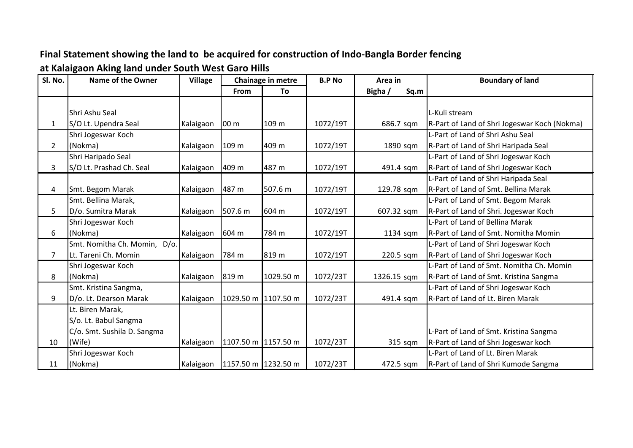## **Final Statement showing the land to be acquired for construction of Indo-Bangla Border fencing**

**at Kalaigaon Aking land under South West Garo Hills**

| Sl. No.      | Name of the Owner            | <b>Village</b> |                     | Chainage in metre | <b>B.P No</b> | Area in         | <b>Boundary of land</b>                      |
|--------------|------------------------------|----------------|---------------------|-------------------|---------------|-----------------|----------------------------------------------|
|              |                              |                | From                | To                |               | Bigha /<br>Sq.m |                                              |
|              |                              |                |                     |                   |               |                 |                                              |
|              | Shri Ashu Seal               |                |                     |                   |               |                 | L-Kuli stream                                |
| 1            | S/O Lt. Upendra Seal         | Kalaigaon      | 00 <sub>m</sub>     | 109 m             | 1072/19T      | 686.7 sqm       | R-Part of Land of Shri Jogeswar Koch (Nokma) |
|              | Shri Jogeswar Koch           |                |                     |                   |               |                 | L-Part of Land of Shri Ashu Seal             |
| $\mathbf{2}$ | (Nokma)                      | Kalaigaon      | 109 m               | 409 m             | 1072/19T      | 1890 sqm        | R-Part of Land of Shri Haripada Seal         |
|              | Shri Haripado Seal           |                |                     |                   |               |                 | L-Part of Land of Shri Jogeswar Koch         |
| 3            | S/O Lt. Prashad Ch. Seal     | Kalaigaon      | 409 m               | 487 m             | 1072/19T      | 491.4 sqm       | R-Part of Land of Shri Jogeswar Koch         |
|              |                              |                |                     |                   |               |                 | L-Part of Land of Shri Haripada Seal         |
| 4            | Smt. Begom Marak             | Kalaigaon      | 487 m               | 507.6 m           | 1072/19T      | 129.78 sqm      | R-Part of Land of Smt. Bellina Marak         |
|              | Smt. Bellina Marak,          |                |                     |                   |               |                 | L-Part of Land of Smt. Begom Marak           |
| 5            | D/o. Sumitra Marak           | Kalaigaon      | 507.6 m             | 604 m             | 1072/19T      | 607.32 sqm      | R-Part of Land of Shri. Jogeswar Koch        |
|              | Shri Jogeswar Koch           |                |                     |                   |               |                 | L-Part of Land of Bellina Marak              |
| 6            | (Nokma)                      | Kalaigaon      | 604 m               | 784 m             | 1072/19T      | 1134 sqm        | R-Part of Land of Smt. Nomitha Momin         |
|              | Smt. Nomitha Ch. Momin, D/o. |                |                     |                   |               |                 | L-Part of Land of Shri Jogeswar Koch         |
| 7            | Lt. Tareni Ch. Momin         | Kalaigaon      | 784 m               | 819 m             | 1072/19T      | 220.5 sqm       | R-Part of Land of Shri Jogeswar Koch         |
|              | Shri Jogeswar Koch           |                |                     |                   |               |                 | L-Part of Land of Smt. Nomitha Ch. Momin     |
| 8            | (Nokma)                      | Kalaigaon      | 819 m               | 1029.50 m         | 1072/23T      | 1326.15 sqm     | R-Part of Land of Smt. Kristina Sangma       |
|              | Smt. Kristina Sangma,        |                |                     |                   |               |                 | L-Part of Land of Shri Jogeswar Koch         |
| 9            | D/o. Lt. Dearson Marak       | Kalaigaon      | 1029.50 m 1107.50 m |                   | 1072/23T      | 491.4 sqm       | R-Part of Land of Lt. Biren Marak            |
|              | Lt. Biren Marak,             |                |                     |                   |               |                 |                                              |
|              | S/o. Lt. Babul Sangma        |                |                     |                   |               |                 |                                              |
|              | C/o. Smt. Sushila D. Sangma  |                |                     |                   |               |                 | L-Part of Land of Smt. Kristina Sangma       |
| 10           | (Wife)                       | Kalaigaon      | 1107.50 m 1157.50 m |                   | 1072/23T      | 315 sqm         | R-Part of Land of Shri Jogeswar koch         |
|              | Shri Jogeswar Koch           |                |                     |                   |               |                 | L-Part of Land of Lt. Biren Marak            |
| 11           | (Nokma)                      | Kalaigaon      | 1157.50 m 1232.50 m |                   | 1072/23T      | 472.5 sqm       | R-Part of Land of Shri Kumode Sangma         |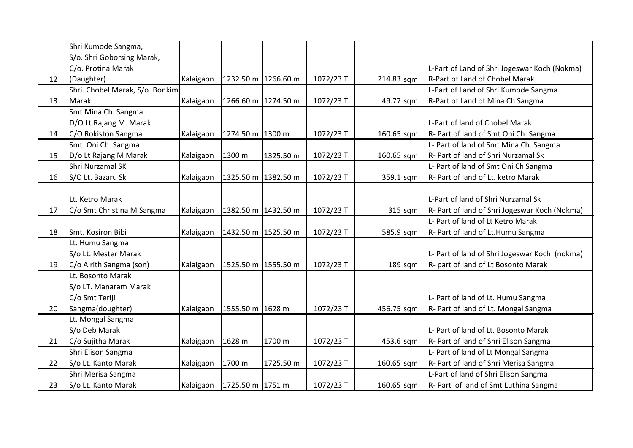|    | Shri Kumode Sangma,             |           |                     |                     |           |            |                                               |
|----|---------------------------------|-----------|---------------------|---------------------|-----------|------------|-----------------------------------------------|
|    | S/o. Shri Goborsing Marak,      |           |                     |                     |           |            |                                               |
|    | C/o. Protina Marak              |           |                     |                     |           |            | L-Part of Land of Shri Jogeswar Koch (Nokma)  |
| 12 | (Daughter)                      | Kalaigaon | 1232.50 m 1266.60 m |                     | 1072/23T  | 214.83 sqm | R-Part of Land of Chobel Marak                |
|    | Shri. Chobel Marak, S/o. Bonkim |           |                     |                     |           |            | L-Part of Land of Shri Kumode Sangma          |
| 13 | Marak                           | Kalaigaon | 1266.60 m 1274.50 m |                     | 1072/23 T | 49.77 sqm  | R-Part of Land of Mina Ch Sangma              |
|    | Smt Mina Ch. Sangma             |           |                     |                     |           |            |                                               |
|    | D/O Lt.Rajang M. Marak          |           |                     |                     |           |            | L-Part of land of Chobel Marak                |
| 14 | C/O Rokiston Sangma             | Kalaigaon | 1274.50 m 1300 m    |                     | 1072/23 T | 160.65 sqm | R- Part of land of Smt Oni Ch. Sangma         |
|    | Smt. Oni Ch. Sangma             |           |                     |                     |           |            | L- Part of land of Smt Mina Ch. Sangma        |
| 15 | D/o Lt Rajang M Marak           | Kalaigaon | 1300 m              | 1325.50 m           | 1072/23T  | 160.65 sqm | R- Part of land of Shri Nurzamal Sk           |
|    | Shri Nurzamal SK                |           |                     |                     |           |            | L- Part of land of Smt Oni Ch Sangma          |
| 16 | S/O Lt. Bazaru Sk               | Kalaigaon | 1325.50 m 1382.50 m |                     | 1072/23 T | 359.1 sqm  | R- Part of land of Lt. ketro Marak            |
|    |                                 |           |                     |                     |           |            |                                               |
|    | Lt. Ketro Marak                 |           |                     |                     |           |            | L-Part of land of Shri Nurzamal Sk            |
| 17 | C/o Smt Christina M Sangma      | Kalaigaon | 1382.50 m 1432.50 m |                     | 1072/23T  | 315 sqm    | R- Part of land of Shri Jogeswar Koch (Nokma) |
|    |                                 |           |                     |                     |           |            | L- Part of land of Lt Ketro Marak             |
| 18 | Smt. Kosiron Bibi               | Kalaigaon |                     | 1432.50 m 1525.50 m | 1072/23 T | 585.9 sqm  | R- Part of land of Lt. Humu Sangma            |
|    | Lt. Humu Sangma                 |           |                     |                     |           |            |                                               |
|    | S/o Lt. Mester Marak            |           |                     |                     |           |            | L- Part of land of Shri Jogeswar Koch (nokma) |
| 19 | C/o Airith Sangma (son)         | Kalaigaon |                     | 1525.50 m 1555.50 m | 1072/23 T | 189 sqm    | R- part of land of Lt Bosonto Marak           |
|    | Lt. Bosonto Marak               |           |                     |                     |           |            |                                               |
|    | S/o LT. Manaram Marak           |           |                     |                     |           |            |                                               |
|    | C/o Smt Teriji                  |           |                     |                     |           |            | L- Part of land of Lt. Humu Sangma            |
| 20 | Sangma(doughter)                | Kalaigaon | 1555.50 m 1628 m    |                     | 1072/23 T | 456.75 sqm | R- Part of land of Lt. Mongal Sangma          |
|    | Lt. Mongal Sangma               |           |                     |                     |           |            |                                               |
|    | S/o Deb Marak                   |           |                     |                     |           |            | L- Part of land of Lt. Bosonto Marak          |
| 21 | C/o Sujitha Marak               | Kalaigaon | 1628 m              | 1700 m              | 1072/23 T | 453.6 sqm  | R- Part of land of Shri Elison Sangma         |
|    | Shri Elison Sangma              |           |                     |                     |           |            | L- Part of land of Lt Mongal Sangma           |
| 22 | S/o Lt. Kanto Marak             | Kalaigaon | 1700 m              | 1725.50 m           | 1072/23T  | 160.65 sqm | R- Part of land of Shri Merisa Sangma         |
|    | Shri Merisa Sangma              |           |                     |                     |           |            | L-Part of land of Shri Elison Sangma          |
| 23 | S/o Lt. Kanto Marak             | Kalaigaon | 1725.50 m 1751 m    |                     | 1072/23T  | 160.65 sqm | R- Part of land of Smt Luthina Sangma         |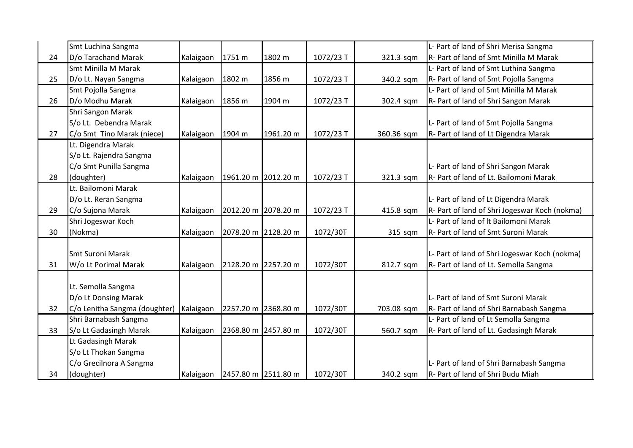|    | Smt Luchina Sangma            |           |                               |           |           |            | L- Part of land of Shri Merisa Sangma         |
|----|-------------------------------|-----------|-------------------------------|-----------|-----------|------------|-----------------------------------------------|
| 24 | D/o Tarachand Marak           | Kalaigaon | 1751 m                        | 1802 m    | 1072/23 T | 321.3 sqm  | R- Part of land of Smt Minilla M Marak        |
|    | Smt Minilla M Marak           |           |                               |           |           |            | L- Part of land of Smt Luthina Sangma         |
| 25 | D/o Lt. Nayan Sangma          | Kalaigaon | 1802 m                        | 1856 m    | 1072/23 T | 340.2 sqm  | R- Part of land of Smt Pojolla Sangma         |
|    | Smt Pojolla Sangma            |           |                               |           |           |            | L- Part of land of Smt Minilla M Marak        |
| 26 | D/o Modhu Marak               | Kalaigaon | 1856 m                        | 1904 m    | 1072/23 T | 302.4 sqm  | R- Part of land of Shri Sangon Marak          |
|    | Shri Sangon Marak             |           |                               |           |           |            |                                               |
|    | S/o Lt. Debendra Marak        |           |                               |           |           |            | L- Part of land of Smt Pojolla Sangma         |
| 27 | C/o Smt Tino Marak (niece)    | Kalaigaon | 1904 m                        | 1961.20 m | 1072/23 T | 360.36 sqm | R- Part of land of Lt Digendra Marak          |
|    | Lt. Digendra Marak            |           |                               |           |           |            |                                               |
|    | S/o Lt. Rajendra Sangma       |           |                               |           |           |            |                                               |
|    | C/o Smt Punilla Sangma        |           |                               |           |           |            | L- Part of land of Shri Sangon Marak          |
| 28 | (doughter)                    | Kalaigaon | 1961.20 m 2012.20 m           |           | 1072/23 T | 321.3 sqm  | R- Part of land of Lt. Bailomoni Marak        |
|    | Lt. Bailomoni Marak           |           |                               |           |           |            |                                               |
|    | D/o Lt. Reran Sangma          |           |                               |           |           |            | L- Part of land of Lt Digendra Marak          |
| 29 | C/o Sujona Marak              | Kalaigaon | 2012.20 m 2078.20 m           |           | 1072/23 T | 415.8 sqm  | R- Part of land of Shri Jogeswar Koch (nokma) |
|    | Shri Jogeswar Koch            |           |                               |           |           |            | L- Part of land of It Bailomoni Marak         |
| 30 | (Nokma)                       | Kalaigaon | 2078.20 m 2128.20 m           |           | 1072/30T  | 315 sqm    | R- Part of land of Smt Suroni Marak           |
|    |                               |           |                               |           |           |            |                                               |
|    | <b>Smt Suroni Marak</b>       |           |                               |           |           |            | L- Part of land of Shri Jogeswar Koch (nokma) |
| 31 | W/o Lt Porimal Marak          | Kalaigaon | 2128.20 m 2257.20 m           |           | 1072/30T  | 812.7 sqm  | R- Part of land of Lt. Semolla Sangma         |
|    |                               |           |                               |           |           |            |                                               |
|    | Lt. Semolla Sangma            |           |                               |           |           |            |                                               |
|    | D/o Lt Donsing Marak          |           |                               |           |           |            | L- Part of land of Smt Suroni Marak           |
| 32 | C/o Lenitha Sangma (doughter) | Kalaigaon | 2257.20 m 2368.80 m           |           | 1072/30T  | 703.08 sqm | R- Part of land of Shri Barnabash Sangma      |
|    | Shri Barnabash Sangma         |           |                               |           |           |            | L- Part of land of Lt Semolla Sangma          |
| 33 | S/o Lt Gadasingh Marak        | Kalaigaon | 2368.80 m 2457.80 m           |           | 1072/30T  | 560.7 sqm  | R- Part of land of Lt. Gadasingh Marak        |
|    | Lt Gadasingh Marak            |           |                               |           |           |            |                                               |
|    | S/o Lt Thokan Sangma          |           |                               |           |           |            |                                               |
|    | C/o Grecilnora A Sangma       |           |                               |           |           |            | L- Part of land of Shri Barnabash Sangma      |
| 34 | (doughter)                    |           | Kalaigaon 2457.80 m 2511.80 m |           | 1072/30T  | 340.2 sqm  | R- Part of land of Shri Budu Miah             |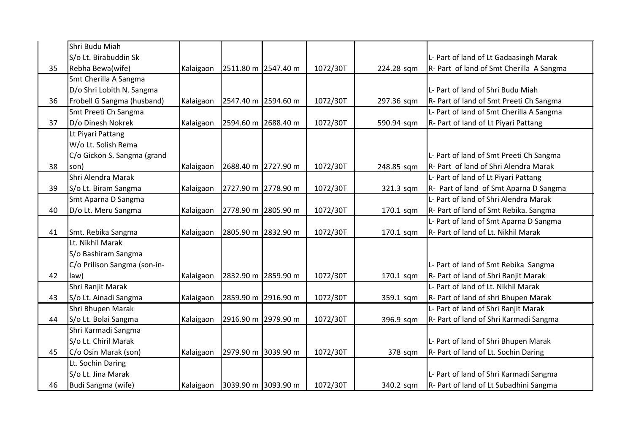|    | Shri Budu Miah               |           |                     |          |            |                                          |
|----|------------------------------|-----------|---------------------|----------|------------|------------------------------------------|
|    | S/o Lt. Birabuddin Sk        |           |                     |          |            | L- Part of land of Lt Gadaasingh Marak   |
| 35 | Rebha Bewa(wife)             | Kalaigaon | 2511.80 m 2547.40 m | 1072/30T | 224.28 sqm | R- Part of land of Smt Cherilla A Sangma |
|    | Smt Cherilla A Sangma        |           |                     |          |            |                                          |
|    | D/o Shri Lobith N. Sangma    |           |                     |          |            | L- Part of land of Shri Budu Miah        |
| 36 | Frobell G Sangma (husband)   | Kalaigaon | 2547.40 m 2594.60 m | 1072/30T | 297.36 sqm | R- Part of land of Smt Preeti Ch Sangma  |
|    | Smt Preeti Ch Sangma         |           |                     |          |            | L- Part of land of Smt Cherilla A Sangma |
| 37 | D/o Dinesh Nokrek            | Kalaigaon | 2594.60 m 2688.40 m | 1072/30T | 590.94 sqm | R- Part of land of Lt Piyari Pattang     |
|    | Lt Piyari Pattang            |           |                     |          |            |                                          |
|    | W/o Lt. Solish Rema          |           |                     |          |            |                                          |
|    | C/o Gickon S. Sangma (grand  |           |                     |          |            | L- Part of land of Smt Preeti Ch Sangma  |
| 38 | son)                         | Kalaigaon | 2688.40 m 2727.90 m | 1072/30T | 248.85 sqm | R- Part of land of Shri Alendra Marak    |
|    | Shri Alendra Marak           |           |                     |          |            | L- Part of land of Lt Piyari Pattang     |
| 39 | S/o Lt. Biram Sangma         | Kalaigaon | 2727.90 m 2778.90 m | 1072/30T | 321.3 sqm  | R- Part of land of Smt Aparna D Sangma   |
|    | Smt Aparna D Sangma          |           |                     |          |            | L- Part of land of Shri Alendra Marak    |
| 40 | D/o Lt. Meru Sangma          | Kalaigaon | 2778.90 m 2805.90 m | 1072/30T | 170.1 sqm  | R- Part of land of Smt Rebika. Sangma    |
|    |                              |           |                     |          |            | L- Part of land of Smt Aparna D Sangma   |
| 41 | Smt. Rebika Sangma           | Kalaigaon | 2805.90 m 2832.90 m | 1072/30T | 170.1 sqm  | R- Part of land of Lt. Nikhil Marak      |
|    | Lt. Nikhil Marak             |           |                     |          |            |                                          |
|    | S/o Bashiram Sangma          |           |                     |          |            |                                          |
|    | C/o Prilison Sangma (son-in- |           |                     |          |            | L- Part of land of Smt Rebika Sangma     |
| 42 | law)                         | Kalaigaon | 2832.90 m 2859.90 m | 1072/30T | 170.1 sqm  | R- Part of land of Shri Ranjit Marak     |
|    | Shri Ranjit Marak            |           |                     |          |            | L- Part of land of Lt. Nikhil Marak      |
| 43 | S/o Lt. Ainadi Sangma        | Kalaigaon | 2859.90 m 2916.90 m | 1072/30T | 359.1 sqm  | R- Part of land of shri Bhupen Marak     |
|    | Shri Bhupen Marak            |           |                     |          |            | L- Part of land of Shri Ranjit Marak     |
| 44 | S/o Lt. Bolai Sangma         | Kalaigaon | 2916.90 m 2979.90 m | 1072/30T | 396.9 sqm  | R- Part of land of Shri Karmadi Sangma   |
|    | Shri Karmadi Sangma          |           |                     |          |            |                                          |
|    | S/o Lt. Chiril Marak         |           |                     |          |            | L- Part of land of Shri Bhupen Marak     |
| 45 | C/o Osin Marak (son)         | Kalaigaon | 2979.90 m 3039.90 m | 1072/30T | 378 sqm    | R- Part of land of Lt. Sochin Daring     |
|    | Lt. Sochin Daring            |           |                     |          |            |                                          |
|    | S/o Lt. Jina Marak           |           |                     |          |            | L- Part of land of Shri Karmadi Sangma   |
| 46 | Budi Sangma (wife)           | Kalaigaon | 3039.90 m 3093.90 m | 1072/30T | 340.2 sqm  | R- Part of land of Lt Subadhini Sangma   |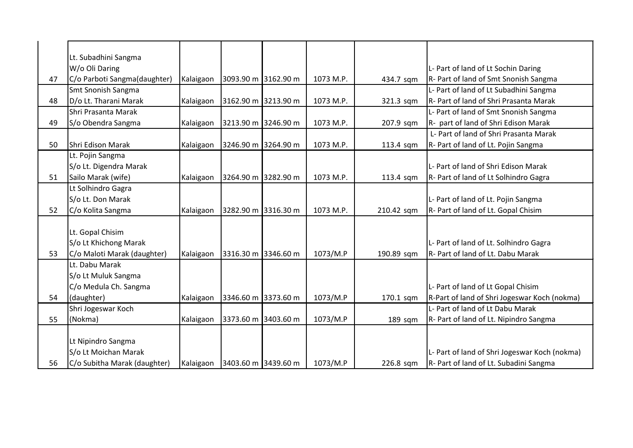|    | Lt. Subadhini Sangma         |           |                     |           |            |                                               |
|----|------------------------------|-----------|---------------------|-----------|------------|-----------------------------------------------|
|    | W/o Oli Daring               |           |                     |           |            | L- Part of land of Lt Sochin Daring           |
| 47 | C/o Parboti Sangma(daughter) | Kalaigaon | 3093.90 m 3162.90 m | 1073 M.P. | 434.7 sqm  | R- Part of land of Smt Snonish Sangma         |
|    | Smt Snonish Sangma           |           |                     |           |            | L- Part of land of Lt Subadhini Sangma        |
| 48 | D/o Lt. Tharani Marak        | Kalaigaon | 3162.90 m 3213.90 m | 1073 M.P. | 321.3 sqm  | <b>R</b> -Part of land of Shri Prasanta Marak |
|    | Shri Prasanta Marak          |           |                     |           |            | L- Part of land of Smt Snonish Sangma         |
| 49 | S/o Obendra Sangma           | Kalaigaon | 3213.90 m 3246.90 m | 1073 M.P. | 207.9 sqm  | R- part of land of Shri Edison Marak          |
|    |                              |           |                     |           |            | L- Part of land of Shri Prasanta Marak        |
| 50 | Shri Edison Marak            | Kalaigaon | 3246.90 m 3264.90 m | 1073 M.P. | 113.4 sqm  | R- Part of land of Lt. Pojin Sangma           |
|    | Lt. Pojin Sangma             |           |                     |           |            |                                               |
|    | S/o Lt. Digendra Marak       |           |                     |           |            | L- Part of land of Shri Edison Marak          |
| 51 | Sailo Marak (wife)           | Kalaigaon | 3264.90 m 3282.90 m | 1073 M.P. | 113.4 sqm  | R- Part of land of Lt Solhindro Gagra         |
|    | Lt Solhindro Gagra           |           |                     |           |            |                                               |
|    | S/o Lt. Don Marak            |           |                     |           |            | L- Part of land of Lt. Pojin Sangma           |
| 52 | C/o Kolita Sangma            | Kalaigaon | 3282.90 m 3316.30 m | 1073 M.P. | 210.42 sqm | R- Part of land of Lt. Gopal Chisim           |
|    |                              |           |                     |           |            |                                               |
|    | Lt. Gopal Chisim             |           |                     |           |            |                                               |
|    | S/o Lt Khichong Marak        |           |                     |           |            | L- Part of land of Lt. Solhindro Gagra        |
| 53 | C/o Maloti Marak (daughter)  | Kalaigaon | 3316.30 m 3346.60 m | 1073/M.P  | 190.89 sqm | R- Part of land of Lt. Dabu Marak             |
|    | Lt. Dabu Marak               |           |                     |           |            |                                               |
|    | S/o Lt Muluk Sangma          |           |                     |           |            |                                               |
|    | C/o Medula Ch. Sangma        |           |                     |           |            | L- Part of land of Lt Gopal Chisim            |
| 54 | (daughter)                   | Kalaigaon | 3346.60 m 3373.60 m | 1073/M.P  | 170.1 sqm  | R-Part of land of Shri Jogeswar Koch (nokma)  |
|    | Shri Jogeswar Koch           |           |                     |           |            | L- Part of land of Lt Dabu Marak              |
| 55 | (Nokma)                      | Kalaigaon | 3373.60 m 3403.60 m | 1073/M.P  | 189 sqm    | R- Part of land of Lt. Nipindro Sangma        |
|    |                              |           |                     |           |            |                                               |
|    | Lt Nipindro Sangma           |           |                     |           |            |                                               |
|    | S/o Lt Moichan Marak         |           |                     |           |            | L- Part of land of Shri Jogeswar Koch (nokma) |
| 56 | C/o Subitha Marak (daughter) | Kalaigaon | 3403.60 m 3439.60 m | 1073/M.P  | 226.8 sqm  | R- Part of land of Lt. Subadini Sangma        |
|    |                              |           |                     |           |            |                                               |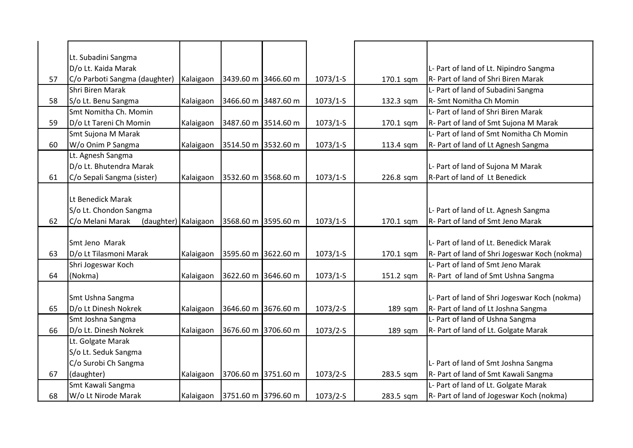|    | Lt. Subadini Sangma                      |           |                     |                     |            |           |                                               |
|----|------------------------------------------|-----------|---------------------|---------------------|------------|-----------|-----------------------------------------------|
|    | D/o Lt. Kaida Marak                      |           |                     |                     |            |           | L- Part of land of Lt. Nipindro Sangma        |
| 57 | C/o Parboti Sangma (daughter)            | Kalaigaon | 3439.60 m 3466.60 m |                     | $1073/1-S$ | 170.1 sqm | R- Part of land of Shri Biren Marak           |
|    | <b>Shri Biren Marak</b>                  |           |                     |                     |            |           | L- Part of land of Subadini Sangma            |
| 58 | S/o Lt. Benu Sangma                      | Kalaigaon |                     | 3466.60 m 3487.60 m | $1073/1-S$ | 132.3 sqm | R- Smt Nomitha Ch Momin                       |
|    | Smt Nomitha Ch. Momin                    |           |                     |                     |            |           | L- Part of land of Shri Biren Marak           |
| 59 | D/o Lt Tareni Ch Momin                   | Kalaigaon | 3487.60 m 3514.60 m |                     | $1073/1-S$ | 170.1 sqm | R- Part of land of Smt Sujona M Marak         |
|    | Smt Sujona M Marak                       |           |                     |                     |            |           | L- Part of land of Smt Nomitha Ch Momin       |
| 60 | W/o Onim P Sangma                        | Kalaigaon |                     | 3514.50 m 3532.60 m | $1073/1-S$ | 113.4 sqm | R- Part of land of Lt Agnesh Sangma           |
|    | Lt. Agnesh Sangma                        |           |                     |                     |            |           |                                               |
|    | D/o Lt. Bhutendra Marak                  |           |                     |                     |            |           | L- Part of land of Sujona M Marak             |
| 61 | C/o Sepali Sangma (sister)               | Kalaigaon |                     | 3532.60 m 3568.60 m | $1073/1-S$ | 226.8 sqm | R-Part of land of Lt Benedick                 |
|    |                                          |           |                     |                     |            |           |                                               |
|    | Lt Benedick Marak                        |           |                     |                     |            |           |                                               |
|    | S/o Lt. Chondon Sangma                   |           |                     |                     |            |           | L- Part of land of Lt. Agnesh Sangma          |
| 62 | C/o Melani Marak<br>(daughter) Kalaigaon |           |                     | 3568.60 m 3595.60 m | $1073/1-S$ | 170.1 sqm | R- Part of land of Smt Jeno Marak             |
|    |                                          |           |                     |                     |            |           |                                               |
|    | Smt Jeno Marak                           |           |                     |                     |            |           | L- Part of land of Lt. Benedick Marak         |
| 63 | D/o Lt Tilasmoni Marak                   | Kalaigaon | 3595.60 m 3622.60 m |                     | $1073/1-S$ | 170.1 sqm | R- Part of land of Shri Jogeswar Koch (nokma) |
|    | Shri Jogeswar Koch                       |           |                     |                     |            |           | L- Part of land of Smt Jeno Marak             |
| 64 | (Nokma)                                  | Kalaigaon |                     | 3622.60 m 3646.60 m | $1073/1-S$ | 151.2 sqm | R- Part of land of Smt Ushna Sangma           |
|    |                                          |           |                     |                     |            |           |                                               |
|    | Smt Ushna Sangma                         |           |                     |                     |            |           | L- Part of land of Shri Jogeswar Koch (nokma) |
| 65 | D/o Lt Dinesh Nokrek                     | Kalaigaon |                     | 3646.60 m 3676.60 m | $1073/2-S$ | 189 sqm   | R- Part of land of Lt Joshna Sangma           |
|    | Smt Joshna Sangma                        |           |                     |                     |            |           | L- Part of land of Ushna Sangma               |
| 66 | D/o Lt. Dinesh Nokrek                    | Kalaigaon |                     | 3676.60 m 3706.60 m | $1073/2-S$ | 189 sqm   | R- Part of land of Lt. Golgate Marak          |
|    | Lt. Golgate Marak                        |           |                     |                     |            |           |                                               |
|    | S/o Lt. Seduk Sangma                     |           |                     |                     |            |           |                                               |
|    | C/o Surobi Ch Sangma                     |           |                     |                     |            |           | L- Part of land of Smt Joshna Sangma          |
| 67 | (daughter)                               | Kalaigaon |                     | 3706.60 m 3751.60 m | 1073/2-S   | 283.5 sqm | R- Part of land of Smt Kawali Sangma          |
|    | Smt Kawali Sangma                        |           |                     |                     |            |           | L- Part of land of Lt. Golgate Marak          |
| 68 | W/o Lt Nirode Marak                      | Kalaigaon | 3751.60 m 3796.60 m |                     | $1073/2-S$ | 283.5 sqm | R- Part of land of Jogeswar Koch (nokma)      |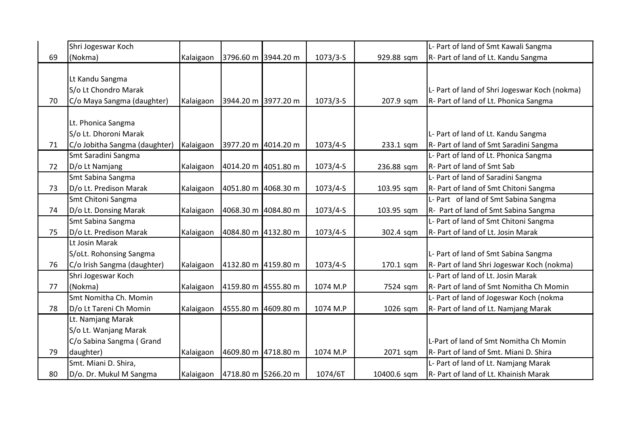|    | Shri Jogeswar Koch            |           |                     |            |             | L- Part of land of Smt Kawali Sangma          |
|----|-------------------------------|-----------|---------------------|------------|-------------|-----------------------------------------------|
| 69 | (Nokma)                       | Kalaigaon | 3796.60 m 3944.20 m | $1073/3-S$ | 929.88 sqm  | R- Part of land of Lt. Kandu Sangma           |
|    |                               |           |                     |            |             |                                               |
|    | Lt Kandu Sangma               |           |                     |            |             |                                               |
|    | S/o Lt Chondro Marak          |           |                     |            |             | L- Part of land of Shri Jogeswar Koch (nokma) |
| 70 | C/o Maya Sangma (daughter)    | Kalaigaon | 3944.20 m 3977.20 m | $1073/3-S$ | 207.9 sqm   | R- Part of land of Lt. Phonica Sangma         |
|    |                               |           |                     |            |             |                                               |
|    | Lt. Phonica Sangma            |           |                     |            |             |                                               |
|    | S/o Lt. Dhoroni Marak         |           |                     |            |             | L- Part of land of Lt. Kandu Sangma           |
| 71 | C/o Jobitha Sangma (daughter) | Kalaigaon | 3977.20 m 4014.20 m | $1073/4-S$ | 233.1 sqm   | R- Part of land of Smt Saradini Sangma        |
|    | Smt Saradini Sangma           |           |                     |            |             | L- Part of land of Lt. Phonica Sangma         |
| 72 | D/o Lt Namjang                | Kalaigaon | 4014.20 m 4051.80 m | $1073/4-S$ | 236.88 sqm  | R- Part of land of Smt Sab                    |
|    | Smt Sabina Sangma             |           |                     |            |             | L- Part of land of Saradini Sangma            |
| 73 | D/o Lt. Predison Marak        | Kalaigaon | 4051.80 m 4068.30 m | $1073/4-S$ | 103.95 sqm  | R- Part of land of Smt Chitoni Sangma         |
|    | Smt Chitoni Sangma            |           |                     |            |             | L- Part of land of Smt Sabina Sangma          |
| 74 | D/o Lt. Donsing Marak         | Kalaigaon | 4068.30 m 4084.80 m | $1073/4-S$ | 103.95 sqm  | R- Part of land of Smt Sabina Sangma          |
|    | Smt Sabina Sangma             |           |                     |            |             | L- Part of land of Smt Chitoni Sangma         |
| 75 | D/o Lt. Predison Marak        | Kalaigaon | 4084.80 m 4132.80 m | $1073/4-S$ | 302.4 sqm   | R- Part of land of Lt. Josin Marak            |
|    | Lt Josin Marak                |           |                     |            |             |                                               |
|    | S/oLt. Rohonsing Sangma       |           |                     |            |             | L- Part of land of Smt Sabina Sangma          |
| 76 | C/o Irish Sangma (daughter)   | Kalaigaon | 4132.80 m 4159.80 m | $1073/4-S$ | 170.1 sqm   | R- Part of land Shri Jogeswar Koch (nokma)    |
|    | Shri Jogeswar Koch            |           |                     |            |             | L- Part of land of Lt. Josin Marak            |
| 77 | (Nokma)                       | Kalaigaon | 4159.80 m 4555.80 m | 1074 M.P   | 7524 sqm    | R- Part of land of Smt Nomitha Ch Momin       |
|    | Smt Nomitha Ch. Momin         |           |                     |            |             | L- Part of land of Jogeswar Koch (nokma       |
| 78 | D/o Lt Tareni Ch Momin        | Kalaigaon | 4555.80 m 4609.80 m | 1074 M.P   | 1026 sqm    | R- Part of land of Lt. Namjang Marak          |
|    | Lt. Namjang Marak             |           |                     |            |             |                                               |
|    | S/o Lt. Wanjang Marak         |           |                     |            |             |                                               |
|    | C/o Sabina Sangma (Grand      |           |                     |            |             | L-Part of land of Smt Nomitha Ch Momin        |
| 79 | daughter)                     | Kalaigaon | 4609.80 m 4718.80 m | 1074 M.P   | 2071 sqm    | R- Part of land of Smt. Miani D. Shira        |
|    | Smt. Miani D. Shira,          |           |                     |            |             | L- Part of land of Lt. Namjang Marak          |
| 80 | D/o. Dr. Mukul M Sangma       | Kalaigaon | 4718.80 m 5266.20 m | 1074/6T    | 10400.6 sqm | R- Part of land of Lt. Khainish Marak         |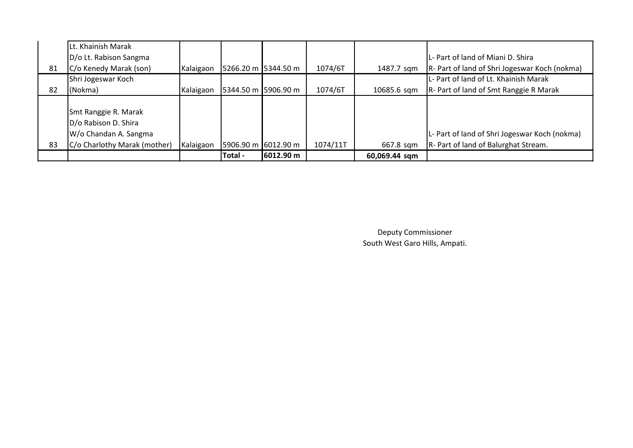|    | Lt. Khainish Marak                                                                                    |           |                     |                     |          |               |                                                                                       |
|----|-------------------------------------------------------------------------------------------------------|-----------|---------------------|---------------------|----------|---------------|---------------------------------------------------------------------------------------|
|    | D/o Lt. Rabison Sangma                                                                                |           |                     |                     |          |               | L- Part of land of Miani D. Shira                                                     |
| 81 | C/o Kenedy Marak (son)                                                                                | Kalaigaon |                     | 5266.20 m 5344.50 m | 1074/6T  | 1487.7 sqm    | R- Part of land of Shri Jogeswar Koch (nokma)                                         |
|    | Shri Jogeswar Koch                                                                                    |           |                     |                     |          |               | L- Part of land of Lt. Khainish Marak                                                 |
| 82 | (Nokma)                                                                                               | Kalaigaon |                     | 5344.50 m 5906.90 m | 1074/6T  | 10685.6 sqm   | R- Part of land of Smt Ranggie R Marak                                                |
| 83 | Smt Ranggie R. Marak<br>D/o Rabison D. Shira<br>W/o Chandan A. Sangma<br>C/o Charlothy Marak (mother) | Kalaigaon | 5906.90 m 6012.90 m |                     | 1074/11T | 667.8 sqm     | L- Part of land of Shri Jogeswar Koch (nokma)<br>R- Part of land of Balurghat Stream. |
|    |                                                                                                       |           | Total -             | 6012.90 m           |          | 60,069.44 sqm |                                                                                       |

Deputy Commissioner South West Garo Hills, Ampati.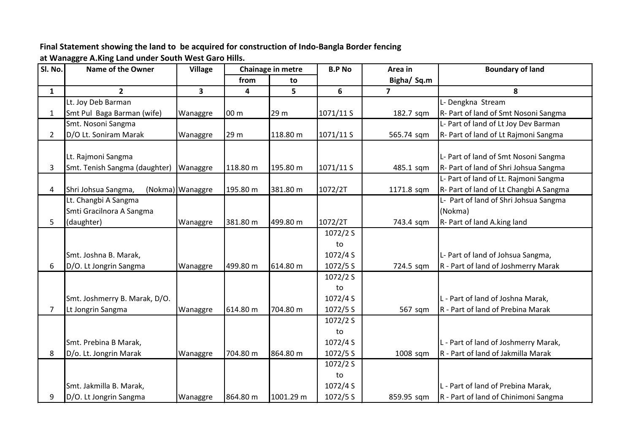**Final Statement showing the land to be acquired for construction of Indo-Bangla Border fencing** 

**at Wanaggre A.King Land under South West Garo Hills.**

| Sl. No.        | <b>Name of the Owner</b>      | <b>Village</b>   |                 | Chainage in metre | <b>B.P No</b> | Area in        | <b>Boundary of land</b>                |
|----------------|-------------------------------|------------------|-----------------|-------------------|---------------|----------------|----------------------------------------|
|                |                               |                  | from            | to                |               | Bigha/ Sq.m    |                                        |
| $\mathbf{1}$   | $\overline{2}$                | $\mathbf{3}$     | 4               | 5                 | 6             | $\overline{7}$ | 8                                      |
|                | Lt. Joy Deb Barman            |                  |                 |                   |               |                | L- Dengkna Stream                      |
| $\mathbf{1}$   | Smt Pul Baga Barman (wife)    | Wanaggre         | 00 <sub>m</sub> | 29 m              | 1071/11S      | 182.7 sqm      | R- Part of land of Smt Nosoni Sangma   |
|                | Smt. Nosoni Sangma            |                  |                 |                   |               |                | L- Part of land of Lt Joy Dev Barman   |
| $\overline{2}$ | D/O Lt. Soniram Marak         | Wanaggre         | 29 m            | 118.80 m          | 1071/11 S     | 565.74 sqm     | R- Part of land of Lt Rajmoni Sangma   |
|                |                               |                  |                 |                   |               |                |                                        |
|                | Lt. Rajmoni Sangma            |                  |                 |                   |               |                | L- Part of land of Smt Nosoni Sangma   |
| 3              | Smt. Tenish Sangma (daughter) | Wanaggre         | 118.80 m        | 195.80 m          | 1071/11 S     | 485.1 sqm      | R- Part of land of Shri Johsua Sangma  |
|                |                               |                  |                 |                   |               |                | L- Part of land of Lt. Rajmoni Sangma  |
| $\overline{4}$ | Shri Johsua Sangma,           | (Nokma) Wanaggre | 195.80 m        | 381.80 m          | 1072/2T       | 1171.8 sqm     | R- Part of land of Lt Changbi A Sangma |
|                | Lt. Changbi A Sangma          |                  |                 |                   |               |                | L- Part of land of Shri Johsua Sangma  |
|                | Smti Gracilnora A Sangma      |                  |                 |                   |               |                | (Nokma)                                |
| 5              | (daughter)                    | Wanaggre         | 381.80 m        | 499.80 m          | 1072/2T       | 743.4 sqm      | R- Part of land A.king land            |
|                |                               |                  |                 |                   | 1072/2 S      |                |                                        |
|                |                               |                  |                 |                   | to            |                |                                        |
|                | Smt. Joshna B. Marak,         |                  |                 |                   | 1072/4 S      |                | L- Part of land of Johsua Sangma,      |
| 6              | D/O. Lt Jongrin Sangma        | Wanaggre         | 499.80 m        | 614.80 m          | 1072/5 S      | 724.5 sqm      | R - Part of land of Joshmerry Marak    |
|                |                               |                  |                 |                   | 1072/2 S      |                |                                        |
|                |                               |                  |                 |                   | to            |                |                                        |
|                | Smt. Joshmerry B. Marak, D/O. |                  |                 |                   | 1072/4 S      |                | L - Part of land of Joshna Marak,      |
| $\overline{7}$ | Lt Jongrin Sangma             | Wanaggre         | 614.80 m        | 704.80 m          | 1072/5 S      | 567 sqm        | R - Part of land of Prebina Marak      |
|                |                               |                  |                 |                   | 1072/2 S      |                |                                        |
|                |                               |                  |                 |                   | to            |                |                                        |
|                | Smt. Prebina B Marak,         |                  |                 |                   | 1072/4 S      |                | L - Part of land of Joshmerry Marak,   |
| 8              | D/o. Lt. Jongrin Marak        | Wanaggre         | 704.80 m        | 864.80 m          | 1072/5 S      | 1008 sqm       | R - Part of land of Jakmilla Marak     |
|                |                               |                  |                 |                   | 1072/2 S      |                |                                        |
|                |                               |                  |                 |                   | to            |                |                                        |
|                | Smt. Jakmilla B. Marak,       |                  |                 |                   | 1072/4 S      |                | L - Part of land of Prebina Marak,     |
| 9              | D/O. Lt Jongrin Sangma        | Wanaggre         | 864.80 m        | 1001.29 m         | 1072/5 S      | 859.95 sqm     | R - Part of land of Chinimoni Sangma   |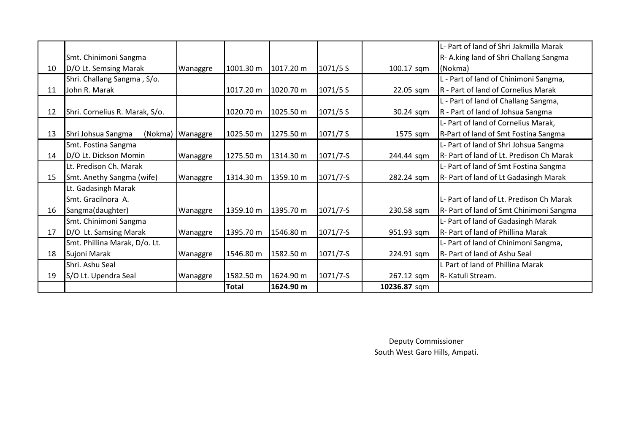|    |                                |                    |           |           |            |              | L- Part of land of Shri Jakmilla Marak   |
|----|--------------------------------|--------------------|-----------|-----------|------------|--------------|------------------------------------------|
|    | Smt. Chinimoni Sangma          |                    |           |           |            |              | R-A.king land of Shri Challang Sangma    |
| 10 | D/O Lt. Semsing Marak          | Wanaggre           | 1001.30 m | 1017.20 m | 1071/5 S   | 100.17 sqm   | (Nokma)                                  |
|    | Shri. Challang Sangma, S/o.    |                    |           |           |            |              | L - Part of land of Chinimoni Sangma,    |
| 11 | John R. Marak                  |                    | 1017.20 m | 1020.70 m | 1071/5 S   | 22.05 sqm    | R - Part of land of Cornelius Marak      |
|    |                                |                    |           |           |            |              | L - Part of land of Challang Sangma,     |
| 12 | Shri. Cornelius R. Marak, S/o. |                    | 1020.70 m | 1025.50 m | 1071/5 S   | 30.24 sqm    | R - Part of land of Johsua Sangma        |
|    |                                |                    |           |           |            |              | L- Part of land of Cornelius Marak,      |
| 13 | Shri Johsua Sangma             | (Nokma)   Wanaggre | 1025.50 m | 1275.50 m | 1071/7S    | 1575 sqm     | R-Part of land of Smt Fostina Sangma     |
|    | Smt. Fostina Sangma            |                    |           |           |            |              | L- Part of land of Shri Johsua Sangma    |
| 14 | D/O Lt. Dickson Momin          | Wanaggre           | 1275.50 m | 1314.30 m | $1071/7-S$ | 244.44 sqm   | R- Part of land of Lt. Predison Ch Marak |
|    | Lt. Predison Ch. Marak         |                    |           |           |            |              | L- Part of land of Smt Fostina Sangma    |
| 15 | Smt. Anethy Sangma (wife)      | Wanaggre           | 1314.30 m | 1359.10 m | $1071/7-S$ | 282.24 sqm   | R- Part of land of Lt Gadasingh Marak    |
|    | Lt. Gadasingh Marak            |                    |           |           |            |              |                                          |
|    | Smt. Gracilnora A.             |                    |           |           |            |              | L- Part of land of Lt. Predison Ch Marak |
| 16 | Sangma(daughter)               | Wanaggre           | 1359.10 m | 1395.70 m | $1071/7-S$ | 230.58 sqm   | R- Part of land of Smt Chinimoni Sangma  |
|    | Smt. Chinimoni Sangma          |                    |           |           |            |              | L- Part of land of Gadasingh Marak       |
| 17 | D/O Lt. Samsing Marak          | Wanaggre           | 1395.70 m | 1546.80 m | $1071/7-S$ | 951.93 sqm   | R- Part of land of Phillina Marak        |
|    | Smt. Phillina Marak, D/o. Lt.  |                    |           |           |            |              | L- Part of land of Chinimoni Sangma,     |
| 18 | Sujoni Marak                   | Wanaggre           | 1546.80 m | 1582.50 m | $1071/7-S$ | 224.91 sqm   | R- Part of land of Ashu Seal             |
|    | Shri. Ashu Seal                |                    |           |           |            |              | L Part of land of Phillina Marak         |
| 19 | S/O Lt. Upendra Seal           | Wanaggre           | 1582.50 m | 1624.90 m | $1071/7-S$ | 267.12 sqm   | R- Katuli Stream.                        |
|    |                                |                    | Total     | 1624.90 m |            | 10236.87 sqm |                                          |

Deputy Commissioner South West Garo Hills, Ampati.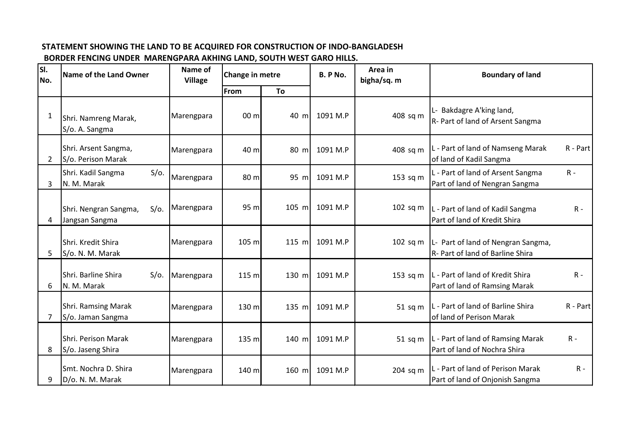## **STATEMENT SHOWING THE LAND TO BE ACQUIRED FOR CONSTRUCTION OF INDO-BANGLADESH**

## **BORDER FENCING UNDER MARENGPARA AKHING LAND, SOUTH WEST GARO HILLS.**

| SI.<br>No.   | Name of the Land Owner                             | Name of<br><b>Village</b> | Change in metre |         | <b>B. P No.</b> | Area in<br>bigha/sq. m | <b>Boundary of land</b>                                                      |          |
|--------------|----------------------------------------------------|---------------------------|-----------------|---------|-----------------|------------------------|------------------------------------------------------------------------------|----------|
|              |                                                    |                           | <b>From</b>     | To      |                 |                        |                                                                              |          |
| $\mathbf{1}$ | Shri. Namreng Marak,<br>S/o. A. Sangma             | Marengpara                | 00 <sub>m</sub> | 40 m    | 1091 M.P        | 408 sq m               | L- Bakdagre A'king land,<br>R- Part of land of Arsent Sangma                 |          |
| 2            | Shri. Arsent Sangma,<br>S/o. Perison Marak         | Marengpara                | 40 m            | 80 m    | 1091 M.P        | 408 sq m               | L - Part of land of Namseng Marak<br>of land of Kadil Sangma                 | R - Part |
| 3            | Shri. Kadil Sangma<br>$S/O$ .<br>N. M. Marak       | Marengpara                | 80 m            | 95 m    | 1091 M.P        | 153 sq m               | L - Part of land of Arsent Sangma<br>$R -$<br>Part of land of Nengran Sangma |          |
| 4            | Shri. Nengran Sangma,<br>$S/O$ .<br>Jangsan Sangma | Marengpara                | 95 m            | 105 m   | 1091 M.P        | $102$ sq m             | L - Part of land of Kadil Sangma<br>Part of land of Kredit Shira             | $R -$    |
| 5            | Shri. Kredit Shira<br>S/o. N. M. Marak             | Marengpara                | 105 m           | $115$ m | 1091 M.P        | $102$ sq m             | L- Part of land of Nengran Sangma,<br>R- Part of land of Barline Shira       |          |
| 6            | Shri. Barline Shira<br>$S/O$ .<br>N. M. Marak      | Marengpara                | 115 m           | 130 m   | 1091 M.P        | 153 sq m               | L - Part of land of Kredit Shira<br>Part of land of Ramsing Marak            | $R -$    |
| 7            | <b>Shri. Ramsing Marak</b><br>S/o. Jaman Sangma    | Marengpara                | 130 m           | $135$ m | 1091 M.P        | 51 sq m                | L - Part of land of Barline Shira<br>of land of Perison Marak                | R - Part |
| 8            | Shri. Perison Marak<br>S/o. Jaseng Shira           | Marengpara                | 135 m           | 140 m   | 1091 M.P        | $51$ sq m              | L - Part of land of Ramsing Marak<br>$R -$<br>Part of land of Nochra Shira   |          |
| 9            | Smt. Nochra D. Shira<br>D/o. N. M. Marak           | Marengpara                | 140 m           | 160 m   | 1091 M.P        | 204 sq m               | L - Part of land of Perison Marak<br>Part of land of Onjonish Sangma         | $R -$    |